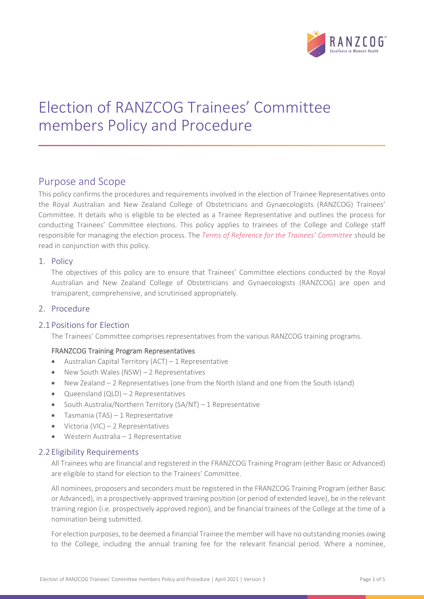

# Election of RANZCOG Trainees' Committee members Policy and Procedure

# Purpose and Scope

This policy confirms the procedures and requirements involved in the election of Trainee Representatives onto the Royal Australian and New Zealand College of Obstetricians and Gynaecologists (RANZCOG) Trainees' Committee. It details who is eligible to be elected as a Trainee Representative and outlines the process for conducting Trainees' Committee elections. This policy applies to trainees of the College and College staff responsible for managing the election process. The *Terms of Reference for the Trainees' Committee* should be read in conjunction with this policy.

# 1. Policy

The objectives of this policy are to ensure that Trainees' Committee elections conducted by the Royal Australian and New Zealand College of Obstetricians and Gynaecologists (RANZCOG) are open and transparent, comprehensive, and scrutinised appropriately.

# 2. Procedure

# 2.1 Positions for Election

The Trainees' Committee comprises representatives from the various RANZCOG training programs.

# FRANZCOG Training Program Representatives

- Australian Capital Territory (ACT) 1 Representative
- New South Wales (NSW) 2 Representatives
- New Zealand 2 Representatives (one from the North Island and one from the South Island)
- Queensland (QLD) 2 Representatives
- South Australia/Northern Territory (SA/NT) 1 Representative
- Tasmania (TAS) 1 Representative
- Victoria (VIC) 2 Representatives
- Western Australia 1 Representative

# 2.2 Eligibility Requirements

All Trainees who are financial and registered in the FRANZCOG Training Program (either Basic or Advanced) are eligible to stand for election to the Trainees' Committee.

All nominees, proposers and seconders must be registered in the FRANZCOG Training Program (either Basic or Advanced), in a prospectively-approved training position (or period of extended leave), be in the relevant training region (i.e. prospectively approved region), and be financial trainees of the College at the time of a nomination being submitted.

For election purposes, to be deemed a financial Trainee the member will have no outstanding monies owing to the College, including the annual training fee for the relevant financial period. Where a nominee,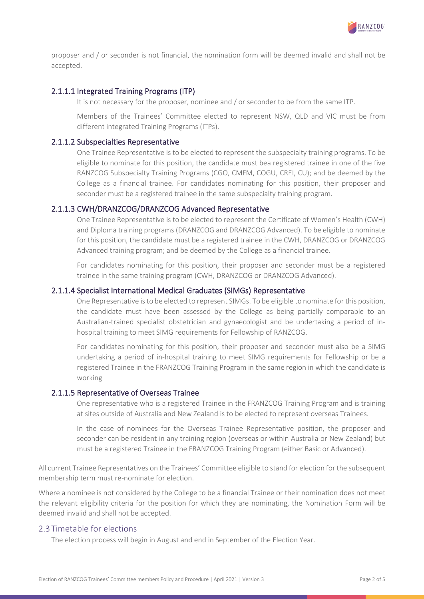

proposer and / or seconder is not financial, the nomination form will be deemed invalid and shall not be accepted.

#### 2.1.1.1 Integrated Training Programs (ITP)

It is not necessary for the proposer, nominee and / or seconder to be from the same ITP.

Members of the Trainees' Committee elected to represent NSW, QLD and VIC must be from different integrated Training Programs (ITPs).

#### 2.1.1.2 Subspecialties Representative

One Trainee Representative is to be elected to represent the subspecialty training programs. To be eligible to nominate for this position, the candidate must bea registered trainee in one of the five RANZCOG Subspecialty Training Programs (CGO, CMFM, COGU, CREI, CU); and be deemed by the College as a financial trainee. For candidates nominating for this position, their proposer and seconder must be a registered trainee in the same subspecialty training program.

#### 2.1.1.3 CWH/DRANZCOG/DRANZCOG Advanced Representative

One Trainee Representative is to be elected to represent the Certificate of Women's Health (CWH) and Diploma training programs (DRANZCOG and DRANZCOG Advanced). To be eligible to nominate for this position, the candidate must be a registered trainee in the CWH, DRANZCOG or DRANZCOG Advanced training program; and be deemed by the College as a financial trainee.

For candidates nominating for this position, their proposer and seconder must be a registered trainee in the same training program (CWH, DRANZCOG or DRANZCOG Advanced).

#### 2.1.1.4 Specialist International Medical Graduates (SIMGs) Representative

One Representative is to be elected to represent SIMGs. To be eligible to nominate for this position, the candidate must have been assessed by the College as being partially comparable to an Australian-trained specialist obstetrician and gynaecologist and be undertaking a period of inhospital training to meet SIMG requirements for Fellowship of RANZCOG.

For candidates nominating for this position, their proposer and seconder must also be a SIMG undertaking a period of in-hospital training to meet SIMG requirements for Fellowship or be a registered Trainee in the FRANZCOG Training Program in the same region in which the candidate is working

#### 2.1.1.5 Representative of Overseas Trainee

One representative who is a registered Trainee in the FRANZCOG Training Program and is training at sites outside of Australia and New Zealand is to be elected to represent overseas Trainees.

In the case of nominees for the Overseas Trainee Representative position, the proposer and seconder can be resident in any training region (overseas or within Australia or New Zealand) but must be a registered Trainee in the FRANZCOG Training Program (either Basic or Advanced).

All current Trainee Representatives on the Trainees' Committee eligible to stand for election for the subsequent membership term must re-nominate for election.

Where a nominee is not considered by the College to be a financial Trainee or their nomination does not meet the relevant eligibility criteria for the position for which they are nominating, the Nomination Form will be deemed invalid and shall not be accepted.

# 2.3 Timetable for elections

The election process will begin in August and end in September of the Election Year.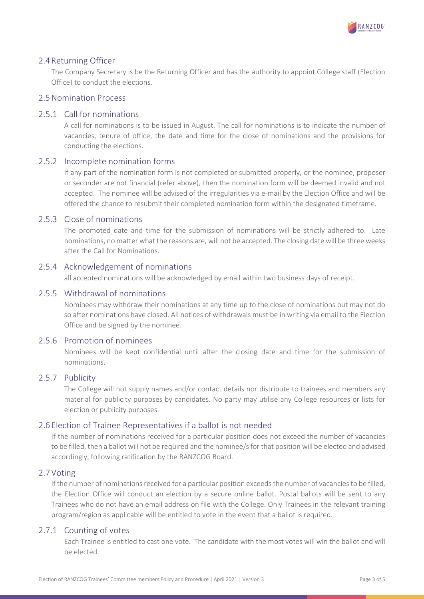

### 2.4Returning Officer

The Company Secretary is be the Returning Officer and has the authority to appoint College staff (Election Office) to conduct the elections.

# 2.5Nomination Process

#### 2.5.1 Call for nominations

A call for nominations is to be issued in August. The call for nominations is to indicate the number of vacancies, tenure of office, the date and time for the close of nominations and the provisions for conducting the elections.

#### 2.5.2 Incomplete nomination forms

If any part of the nomination form is not completed or submitted properly, or the nominee, proposer or seconder are not financial (refer above), then the nomination form will be deemed invalid and not accepted. The nominee will be advised of the irregularities via e-mail by the Election Office and will be offered the chance to resubmit their completed nomination form within the designated timeframe.

#### 2.5.3 Close of nominations

The promoted date and time for the submission of nominations will be strictly adhered to. Late nominations, no matter what the reasons are, will not be accepted. The closing date will be three weeks after the Call for Nominations.

#### 2.5.4 Acknowledgement of nominations

all accepted nominations will be acknowledged by email within two business days of receipt.

#### 2.5.5 Withdrawal of nominations

Nominees may withdraw their nominations at any time up to the close of nominations but may not do so after nominations have closed. All notices of withdrawals must be in writing via email to the Election Office and be signed by the nominee.

# 2.5.6 Promotion of nominees

Nominees will be kept confidential until after the closing date and time for the submission of nominations.

# 2.5.7 Publicity

The College will not supply names and/or contact details nor distribute to trainees and members any material for publicity purposes by candidates. No party may utilise any College resources or lists for election or publicity purposes.

#### 2.6 Election of Trainee Representatives if a ballot is not needed

If the number of nominations received for a particular position does not exceed the number of vacancies to be filled, then a ballot will not be required and the nominee/s for that position will be elected and advised accordingly, following ratification by the RANZCOG Board.

#### 2.7Voting

If the number of nominations received for a particular position exceeds the number of vacancies to be filled, the Election Office will conduct an election by a secure online ballot. Postal ballots will be sent to any Trainees who do not have an email address on file with the College. Only Trainees in the relevant training program/region as applicable will be entitled to vote in the event that a ballot is required.

#### 2.7.1 Counting of votes

Each Trainee is entitled to cast one vote. The candidate with the most votes will win the ballot and will be elected.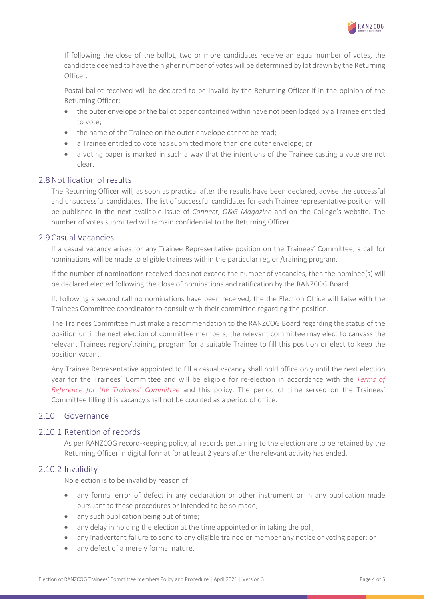

If following the close of the ballot, two or more candidates receive an equal number of votes, the candidate deemed to have the higher number of votes will be determined by lot drawn by the Returning Officer.

Postal ballot received will be declared to be invalid by the Returning Officer if in the opinion of the Returning Officer:

- the outer envelope or the ballot paper contained within have not been lodged by a Trainee entitled to vote;
- the name of the Trainee on the outer envelope cannot be read;
- a Trainee entitled to vote has submitted more than one outer envelope; or
- a voting paper is marked in such a way that the intentions of the Trainee casting a vote are not clear.

# 2.8Notification of results

The Returning Officer will, as soon as practical after the results have been declared, advise the successful and unsuccessful candidates. The list of successful candidates for each Trainee representative position will be published in the next available issue of *Connect*, *O&G Magazine* and on the College's website. The number of votes submitted will remain confidential to the Returning Officer.

# 2.9Casual Vacancies

If a casual vacancy arises for any Trainee Representative position on the Trainees' Committee, a call for nominations will be made to eligible trainees within the particular region/training program.

If the number of nominations received does not exceed the number of vacancies, then the nominee(s) will be declared elected following the close of nominations and ratification by the RANZCOG Board.

If, following a second call no nominations have been received, the the Election Office will liaise with the Trainees Committee coordinator to consult with their committee regarding the position.

The Trainees Committee must make a recommendation to the RANZCOG Board regarding the status of the position until the next election of committee members; the relevant committee may elect to canvass the relevant Trainees region/training program for a suitable Trainee to fill this position or elect to keep the position vacant.

Any Trainee Representative appointed to fill a casual vacancy shall hold office only until the next election year for the Trainees' Committee and will be eligible for re-election in accordance with the *Terms of Reference for the Trainees' Committee* and this policy. The period of time served on the Trainees' Committee filling this vacancy shall not be counted as a period of office.

# 2.10 Governance

# 2.10.1 Retention of records

As per RANZCOG record-keeping policy, all records pertaining to the election are to be retained by the Returning Officer in digital format for at least 2 years after the relevant activity has ended.

# 2.10.2 Invalidity

No election is to be invalid by reason of:

- any formal error of defect in any declaration or other instrument or in any publication made pursuant to these procedures or intended to be so made;
- any such publication being out of time;
- any delay in holding the election at the time appointed or in taking the poll;
- any inadvertent failure to send to any eligible trainee or member any notice or voting paper; or
- any defect of a merely formal nature.